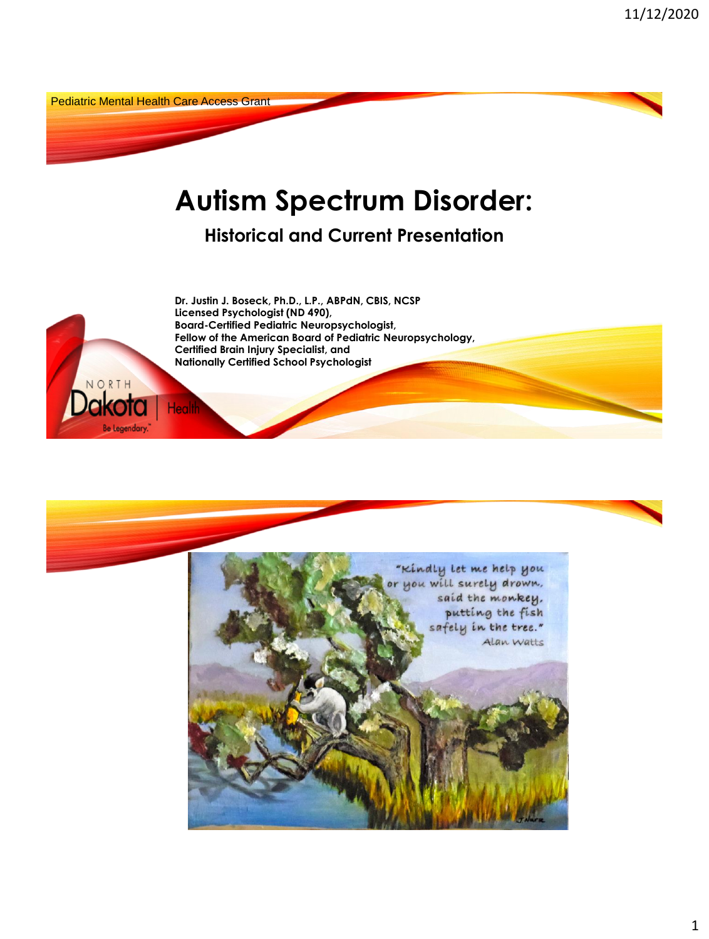Pediatric Mental Health Care Access Grant

NORTH

**Be Legendar** 

Health

# **Autism Spectrum Disorder:**

**Historical and Current Presentation** 

**Dr. Justin J. Boseck, Ph.D., L.P., ABPdN, CBIS, NCSP Licensed Psychologist (ND 490), Board-Certified Pediatric Neuropsychologist, Fellow of the American Board of Pediatric Neuropsychology, Certified Brain Injury Specialist, and Nationally Certified School Psychologist** 

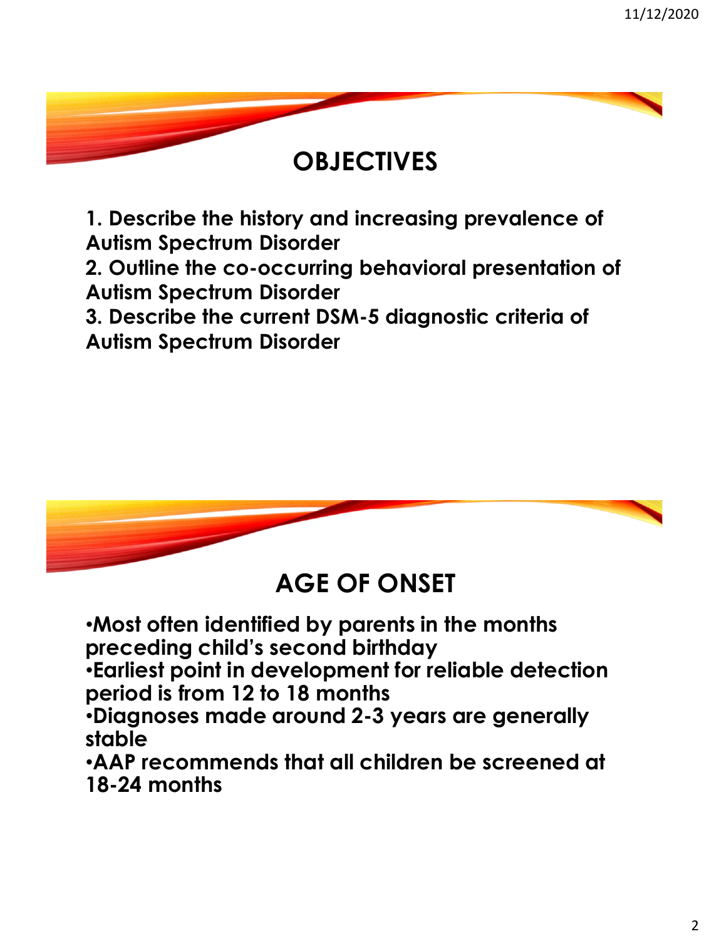#### **OBJECTIVES**

**1. Describe the history and increasing prevalence of Autism Spectrum Disorder**

**2. Outline the co-occurring behavioral presentation of Autism Spectrum Disorder**

**3. Describe the current DSM-5 diagnostic criteria of Autism Spectrum Disorder**



#### **AGE OF ONSET**

•**Most often identified by parents in the months preceding child's second birthday**

•**Earliest point in development for reliable detection period is from 12 to 18 months**

•**Diagnoses made around 2-3 years are generally stable**

•**AAP recommends that all children be screened at 18-24 months**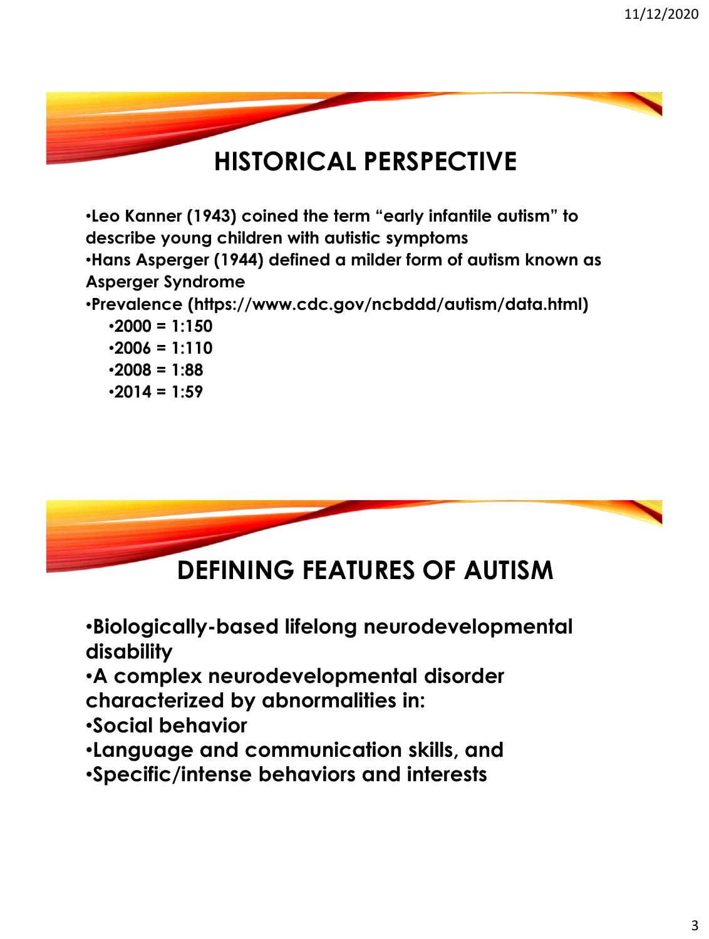## **HISTORICAL PERSPECTIVE**

•**Leo Kanner (1943) coined the term "early infantile autism" to describe young children with autistic symptoms** •**Hans Asperger (1944) defined a milder form of autism known as Asperger Syndrome** •**Prevalence (https://www.cdc.gov/ncbddd/autism/data.html)** •**2000 = 1:150** •**2006 = 1:110**

•**2008 = 1:88** •**2014 = 1:59**



#### **DEFINING FEATURES OF AUTISM**

•**Biologically-based lifelong neurodevelopmental disability** 

•**A complex neurodevelopmental disorder characterized by abnormalities in:**

•**Social behavior**

•**Language and communication skills, and** 

•**Specific/intense behaviors and interests**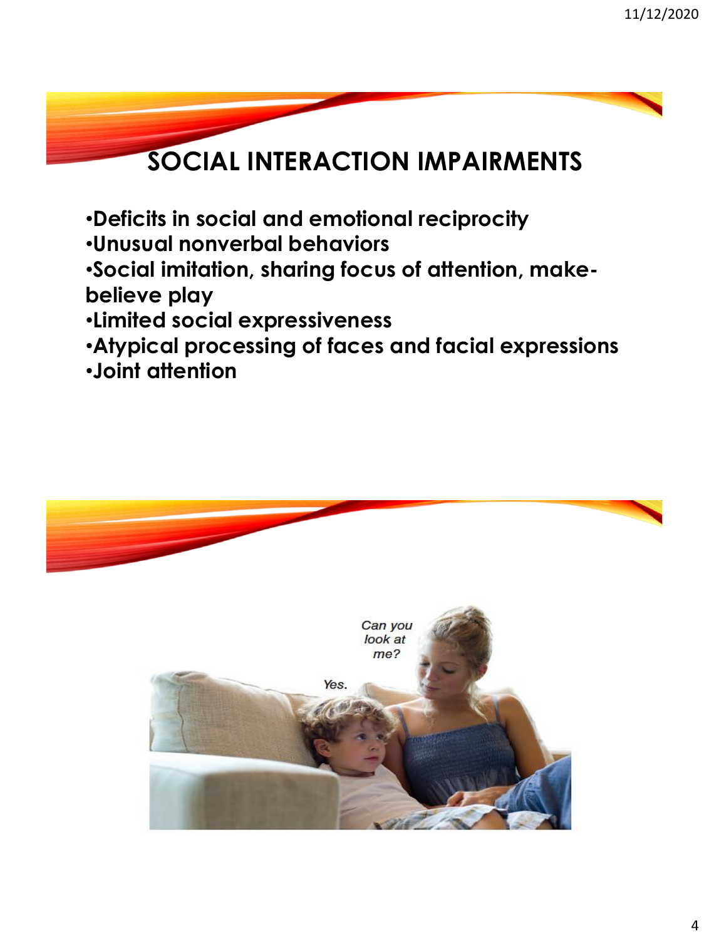# **SOCIAL INTERACTION IMPAIRMENTS**

- •**Deficits in social and emotional reciprocity**
- •**Unusual nonverbal behaviors**
- •**Social imitation, sharing focus of attention, makebelieve play**
- •**Limited social expressiveness**
- •**Atypical processing of faces and facial expressions**
- •**Joint attention**

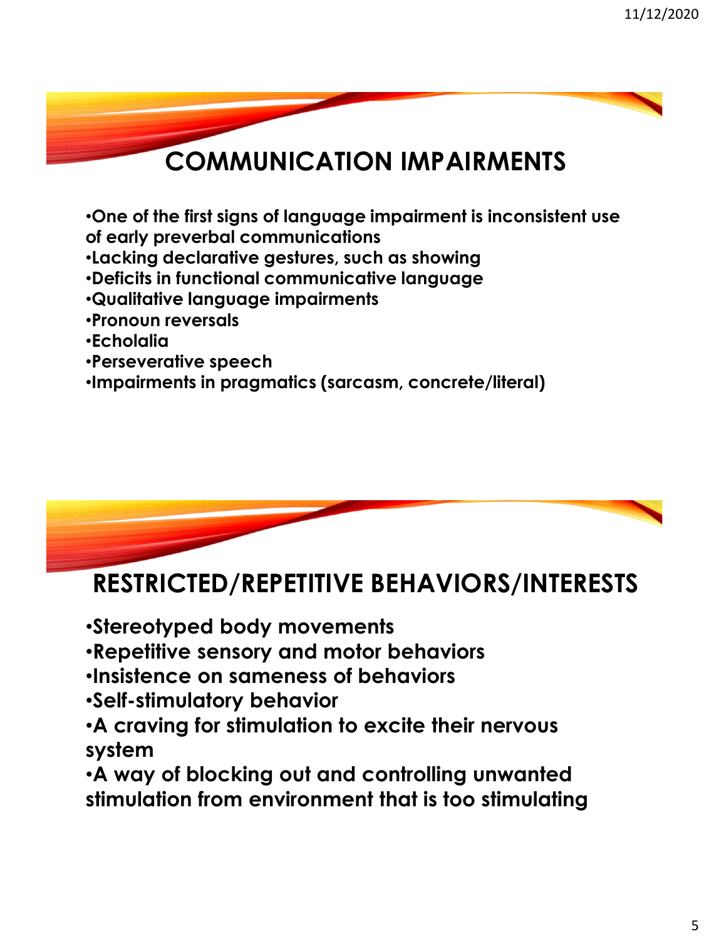## **COMMUNICATION IMPAIRMENTS**

•**One of the first signs of language impairment is inconsistent use of early preverbal communications**

- •**Lacking declarative gestures, such as showing**
- •**Deficits in functional communicative language**
- •**Qualitative language impairments**
- •**Pronoun reversals**
- •**Echolalia**
- •**Perseverative speech**
- •**Impairments in pragmatics (sarcasm, concrete/literal)**



#### **RESTRICTED/REPETITIVE BEHAVIORS/INTERESTS**

- •**Stereotyped body movements**
- •**Repetitive sensory and motor behaviors**
- •**Insistence on sameness of behaviors**
- •**Self-stimulatory behavior**
- •**A craving for stimulation to excite their nervous system**

•**A way of blocking out and controlling unwanted stimulation from environment that is too stimulating**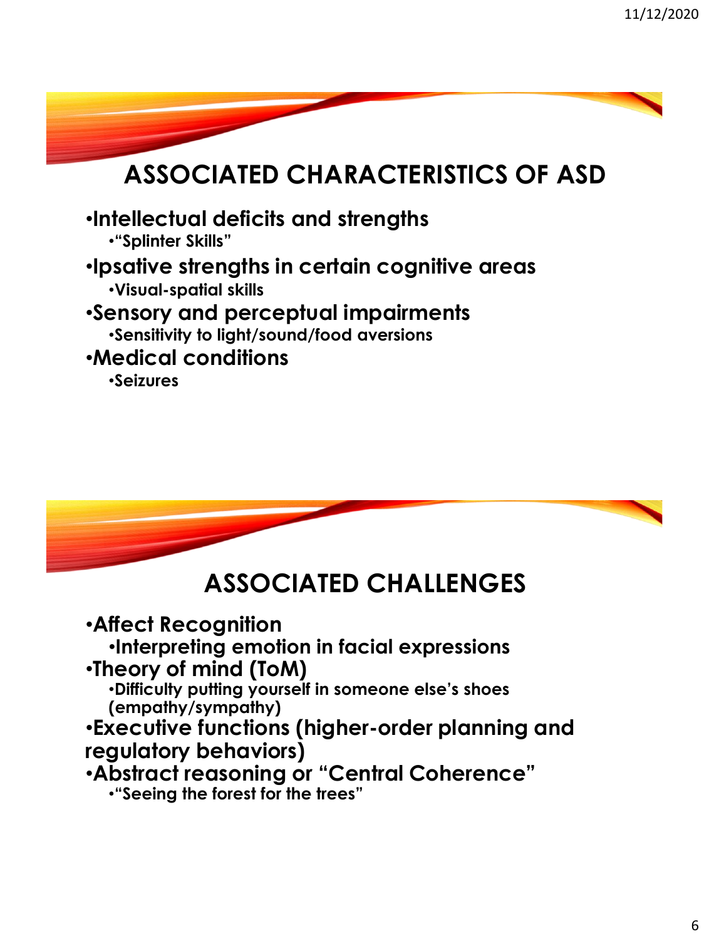



## **ASSOCIATED CHALLENGES**

•**Affect Recognition** •**Interpreting emotion in facial expressions** •**Theory of mind (ToM)** •**Difficulty putting yourself in someone else's shoes (empathy/sympathy)** •**Executive functions (higher-order planning and regulatory behaviors)** •**Abstract reasoning or "Central Coherence"** •**"Seeing the forest for the trees"**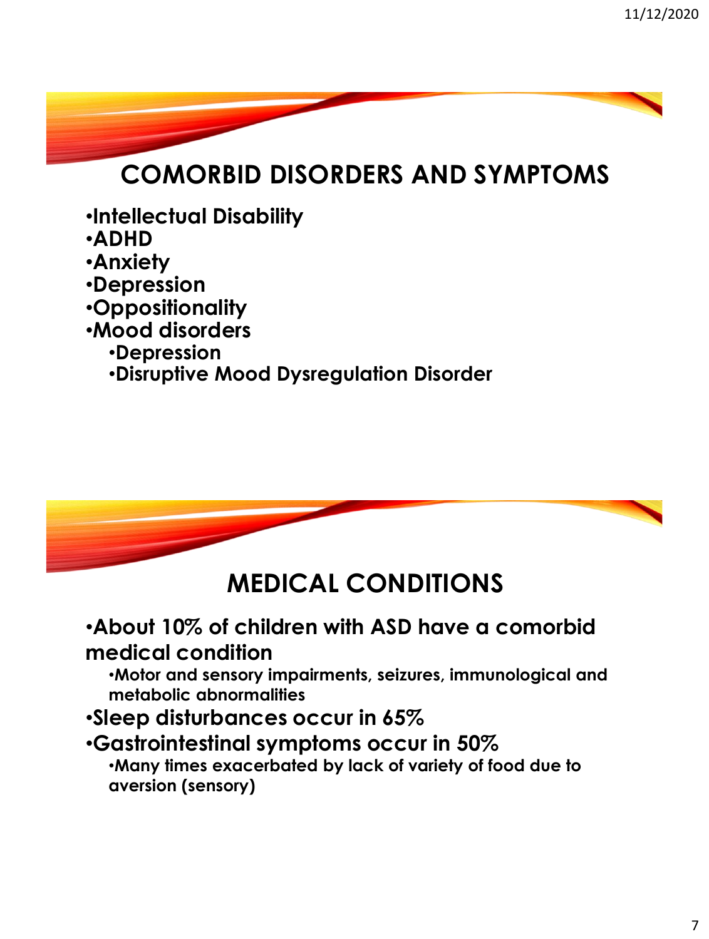# **COMORBID DISORDERS AND SYMPTOMS**

- •**Intellectual Disability**
- •**ADHD**
- •**Anxiety**
- •**Depression**
- •**Oppositionality**
- •**Mood disorders** 
	- •**Depression**
	- •**Disruptive Mood Dysregulation Disorder**



## **MEDICAL CONDITIONS**

•**About 10% of children with ASD have a comorbid medical condition**

•**Motor and sensory impairments, seizures, immunological and metabolic abnormalities**

#### •**Sleep disturbances occur in 65%**

#### •**Gastrointestinal symptoms occur in 50%**

•**Many times exacerbated by lack of variety of food due to aversion (sensory)**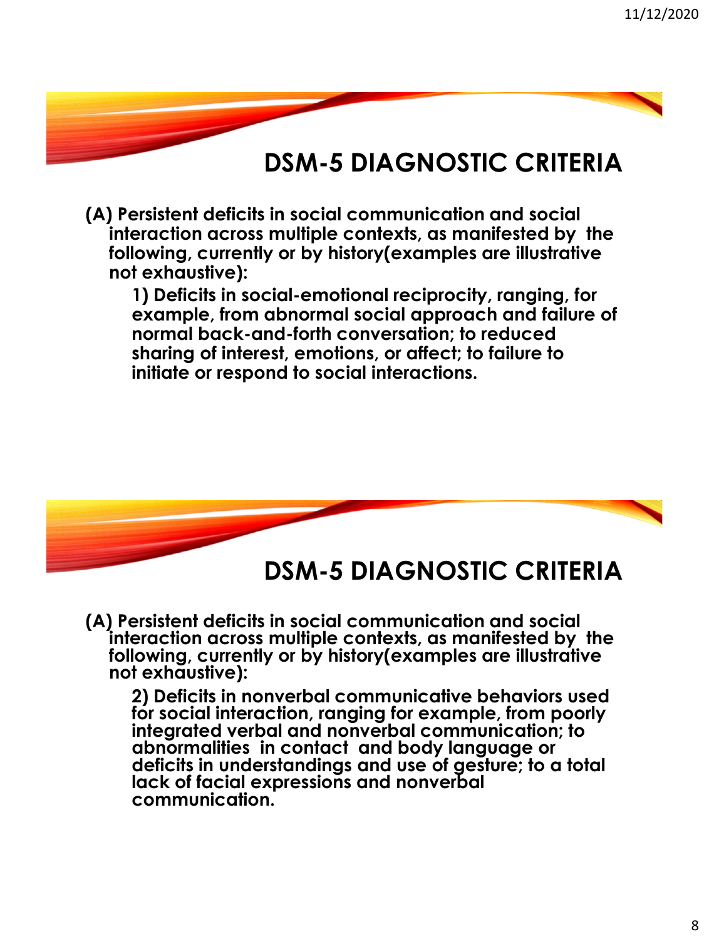**(A) Persistent deficits in social communication and social interaction across multiple contexts, as manifested by the following, currently or by history(examples are illustrative not exhaustive):**

**1) Deficits in social-emotional reciprocity, ranging, for example, from abnormal social approach and failure of normal back-and-forth conversation; to reduced sharing of interest, emotions, or affect; to failure to initiate or respond to social interactions.**



#### **DSM-5 DIAGNOSTIC CRITERIA**

**(A) Persistent deficits in social communication and social interaction across multiple contexts, as manifested by the following, currently or by history(examples are illustrative not exhaustive):**

**2) Deficits in nonverbal communicative behaviors used for social interaction, ranging for example, from poorly integrated verbal and nonverbal communication; to abnormalities in contact and body language or deficits in understandings and use of gesture; to a total lack of facial expressions and nonverbal communication.**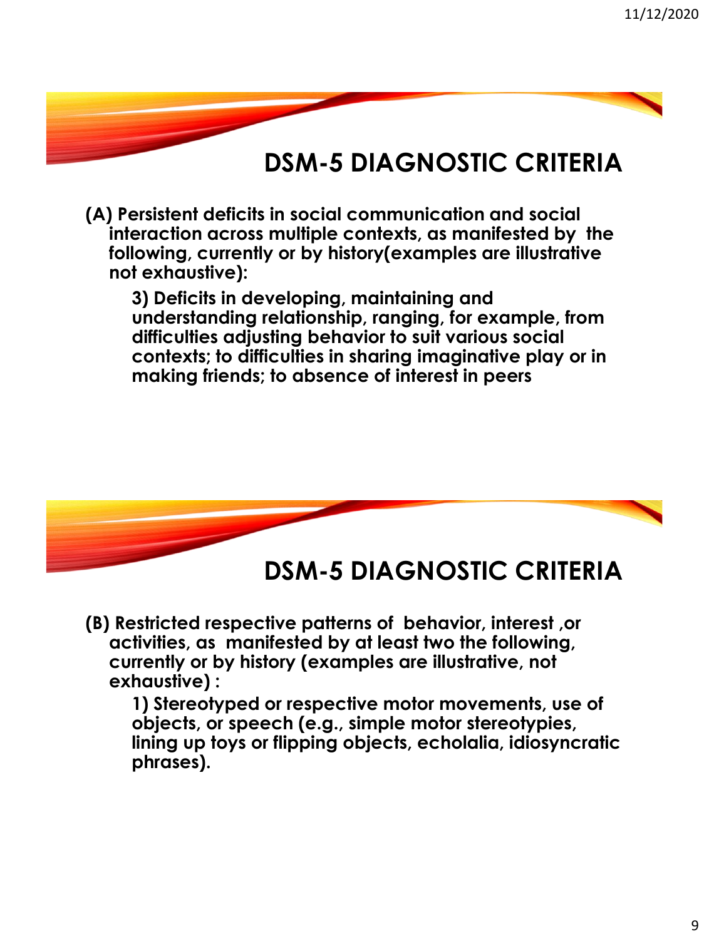**(A) Persistent deficits in social communication and social interaction across multiple contexts, as manifested by the following, currently or by history(examples are illustrative not exhaustive):**

**3) Deficits in developing, maintaining and understanding relationship, ranging, for example, from difficulties adjusting behavior to suit various social contexts; to difficulties in sharing imaginative play or in making friends; to absence of interest in peers**



**DSM-5 DIAGNOSTIC CRITERIA**

**(B) Restricted respective patterns of behavior, interest ,or activities, as manifested by at least two the following, currently or by history (examples are illustrative, not exhaustive) :**

**1) Stereotyped or respective motor movements, use of objects, or speech (e.g., simple motor stereotypies, lining up toys or flipping objects, echolalia, idiosyncratic phrases).**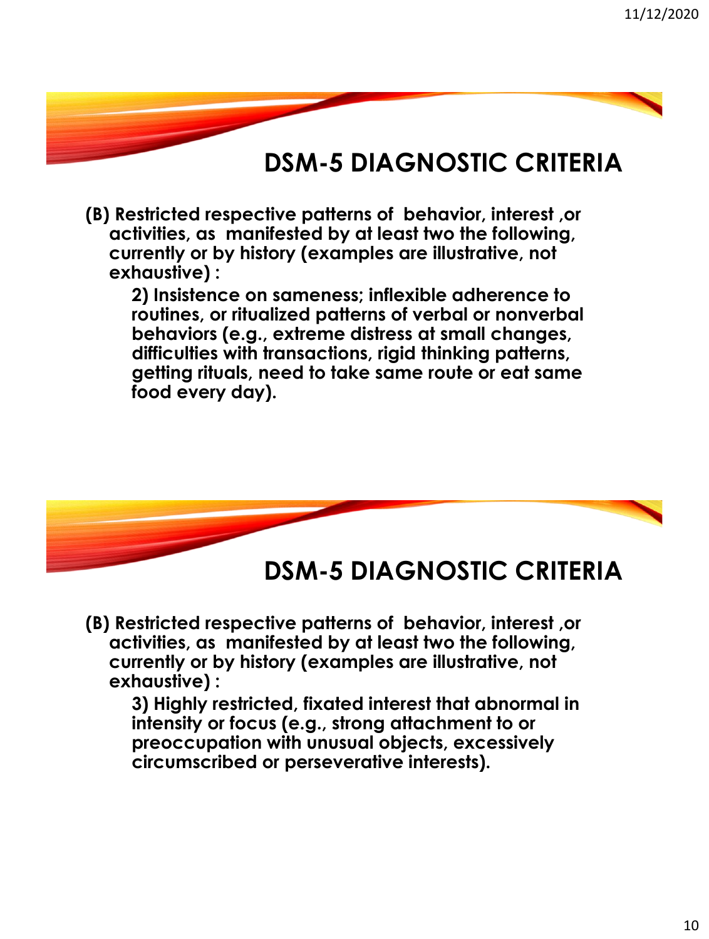**(B) Restricted respective patterns of behavior, interest ,or activities, as manifested by at least two the following, currently or by history (examples are illustrative, not exhaustive) :**

**2) Insistence on sameness; inflexible adherence to routines, or ritualized patterns of verbal or nonverbal behaviors (e.g., extreme distress at small changes, difficulties with transactions, rigid thinking patterns, getting rituals, need to take same route or eat same food every day).**



**DSM-5 DIAGNOSTIC CRITERIA**

**(B) Restricted respective patterns of behavior, interest ,or activities, as manifested by at least two the following, currently or by history (examples are illustrative, not exhaustive) :**

**3) Highly restricted, fixated interest that abnormal in intensity or focus (e.g., strong attachment to or preoccupation with unusual objects, excessively circumscribed or perseverative interests).**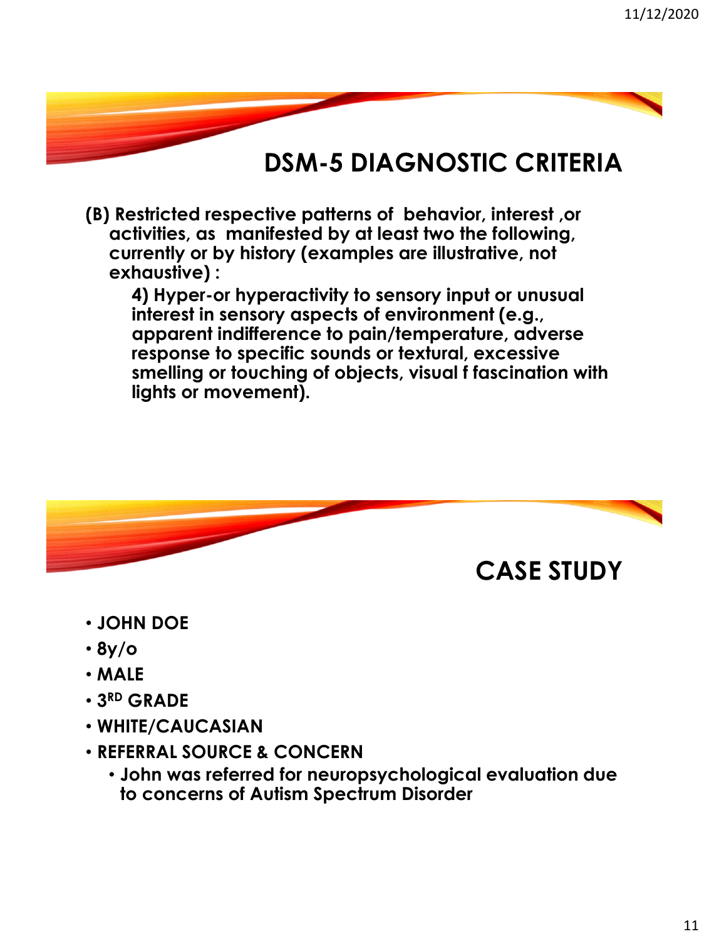**(B) Restricted respective patterns of behavior, interest ,or activities, as manifested by at least two the following, currently or by history (examples are illustrative, not exhaustive) :**

**4) Hyper-or hyperactivity to sensory input or unusual interest in sensory aspects of environment (e.g., apparent indifference to pain/temperature, adverse response to specific sounds or textural, excessive smelling or touching of objects, visual f fascination with lights or movement).**



- **JOHN DOE**
- **8y/o**
- **MALE**
- **3 RD GRADE**
- **WHITE/CAUCASIAN**
- **REFERRAL SOURCE & CONCERN**
	- **John was referred for neuropsychological evaluation due to concerns of Autism Spectrum Disorder**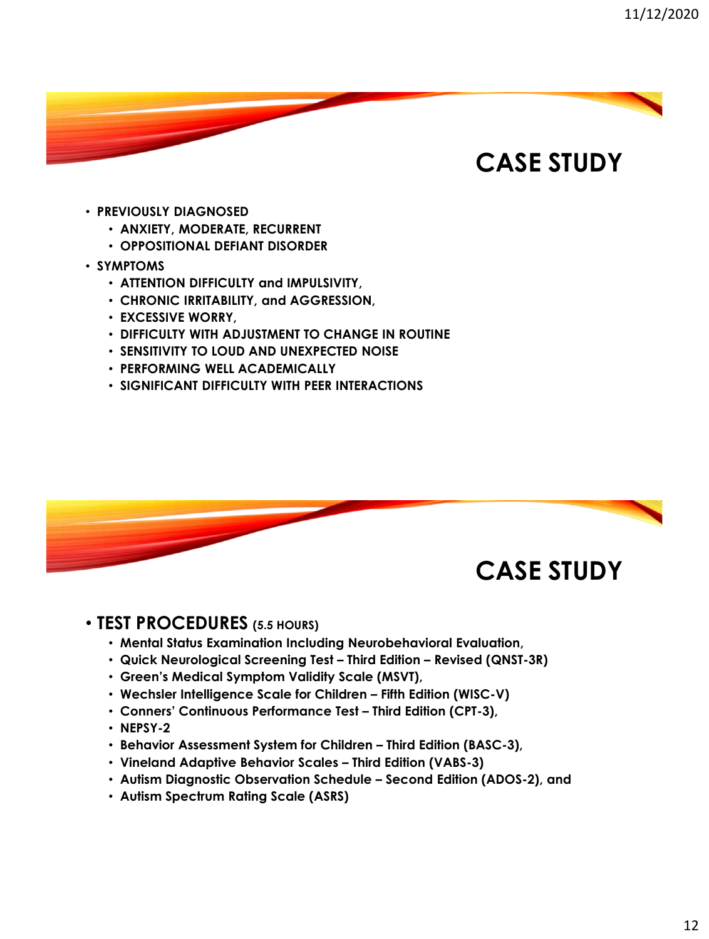- **PREVIOUSLY DIAGNOSED**
	- **ANXIETY, MODERATE, RECURRENT**
	- **OPPOSITIONAL DEFIANT DISORDER**
- **SYMPTOMS**
	- **ATTENTION DIFFICULTY and IMPULSIVITY,**
	- **CHRONIC IRRITABILITY, and AGGRESSION,**
	- **EXCESSIVE WORRY,**
	- **DIFFICULTY WITH ADJUSTMENT TO CHANGE IN ROUTINE**
	- **SENSITIVITY TO LOUD AND UNEXPECTED NOISE**
	- **PERFORMING WELL ACADEMICALLY**
	- **SIGNIFICANT DIFFICULTY WITH PEER INTERACTIONS**



#### • **TEST PROCEDURES (5.5 HOURS)**

- **Mental Status Examination Including Neurobehavioral Evaluation,**
- **Quick Neurological Screening Test – Third Edition – Revised (QNST-3R)**
- **Green's Medical Symptom Validity Scale (MSVT),**
- **Wechsler Intelligence Scale for Children – Fifth Edition (WISC-V)**
- **Conners' Continuous Performance Test – Third Edition (CPT-3),**
- **NEPSY-2**
- **Behavior Assessment System for Children – Third Edition (BASC-3),**
- **Vineland Adaptive Behavior Scales – Third Edition (VABS-3)**
- **Autism Diagnostic Observation Schedule – Second Edition (ADOS-2), and**
- **Autism Spectrum Rating Scale (ASRS)**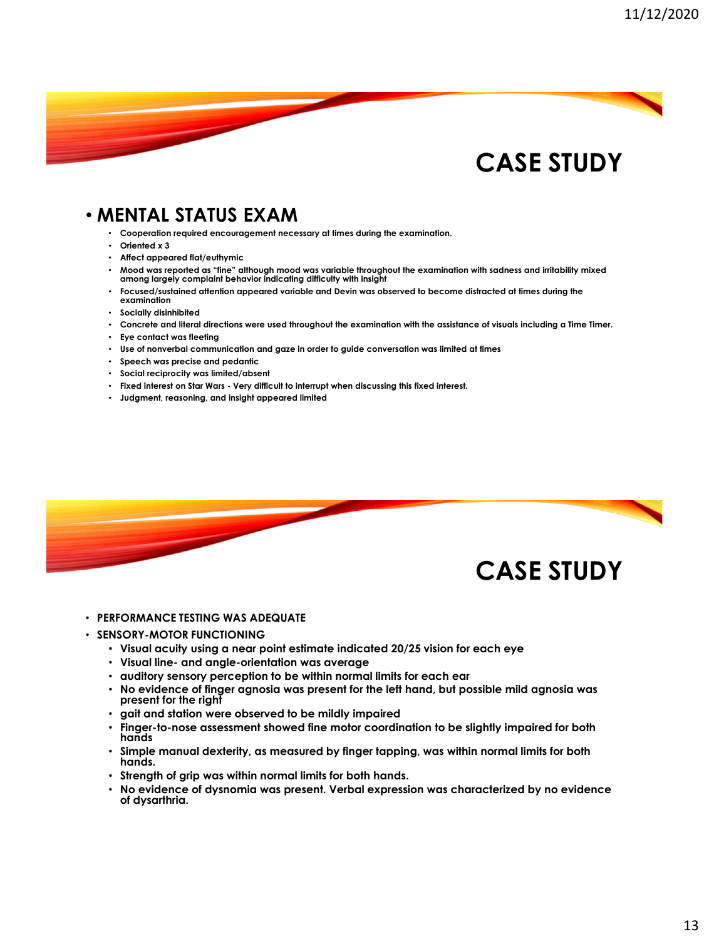#### • **MENTAL STATUS EXAM**

• **Cooperation required encouragement necessary at times during the examination.** 

- **Oriented x 3**
- **Affect appeared flat/euthymic**
- **Mood was reported as "fine" although mood was variable throughout the examination with sadness and irritability mixed among largely complaint behavior indicating difficulty with insight**
- **Focused/sustained attention appeared variable and Devin was observed to become distracted at times during the examination**
- **Socially disinhibited**
- **Concrete and literal directions were used throughout the examination with the assistance of visuals including a Time Timer.**
- **Eye contact was fleeting**
- **Use of nonverbal communication and gaze in order to guide conversation was limited at times**
- **Speech was precise and pedantic**
- **Social reciprocity was limited/absent**
- **Fixed interest on Star Wars - Very difficult to interrupt when discussing this fixed interest.**
- **Judgment, reasoning, and insight appeared limited**



- **PERFORMANCE TESTING WAS ADEQUATE**
- **SENSORY-MOTOR FUNCTIONING**
	- **Visual acuity using a near point estimate indicated 20/25 vision for each eye**
	- **Visual line- and angle-orientation was average**
	- **auditory sensory perception to be within normal limits for each ear**
	- **No evidence of finger agnosia was present for the left hand, but possible mild agnosia was present for the right**
	- **gait and station were observed to be mildly impaired**
	- **Finger-to-nose assessment showed fine motor coordination to be slightly impaired for both hands**
	- **Simple manual dexterity, as measured by finger tapping, was within normal limits for both hands.**
	- **Strength of grip was within normal limits for both hands.**
	- **No evidence of dysnomia was present. Verbal expression was characterized by no evidence of dysarthria.**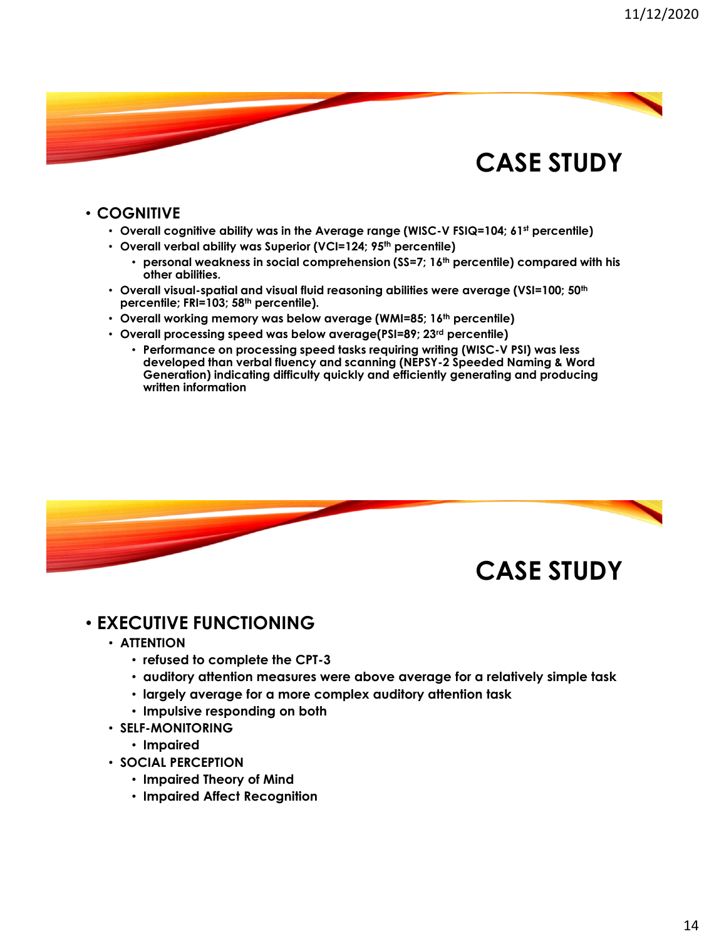#### • **COGNITIVE**

- **Overall cognitive ability was in the Average range (WISC-V FSIQ=104; 61st percentile)**
- **Overall verbal ability was Superior (VCI=124; 95th percentile)**
	- **personal weakness in social comprehension (SS=7; 16th percentile) compared with his other abilities.**
- **Overall visual-spatial and visual fluid reasoning abilities were average (VSI=100; 50th percentile; FRI=103; 58th percentile).**
- **Overall working memory was below average (WMI=85; 16th percentile)**
- **Overall processing speed was below average(PSI=89; 23rd percentile)** 
	- **Performance on processing speed tasks requiring writing (WISC-V PSI) was less developed than verbal fluency and scanning (NEPSY-2 Speeded Naming & Word Generation) indicating difficulty quickly and efficiently generating and producing written information**



#### • **EXECUTIVE FUNCTIONING**

- **ATTENTION**
	- **refused to complete the CPT-3**
	- **auditory attention measures were above average for a relatively simple task**
	- **largely average for a more complex auditory attention task**
	- **Impulsive responding on both**
- **SELF-MONITORING**
	- **Impaired**
- **SOCIAL PERCEPTION**
	- **Impaired Theory of Mind**
	- **Impaired Affect Recognition**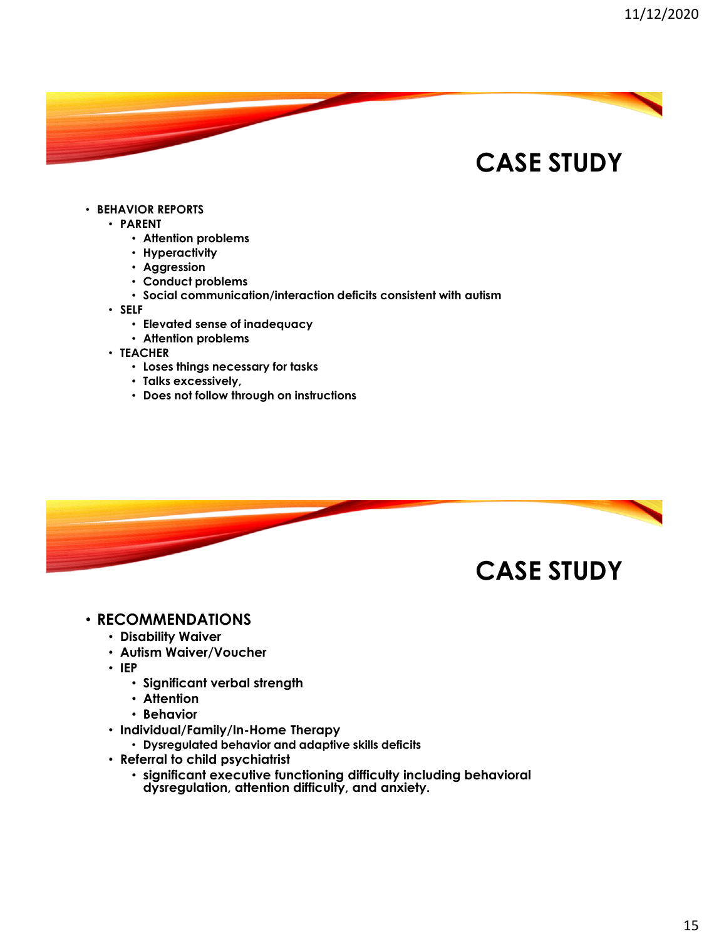#### • **BEHAVIOR REPORTS**

- **PARENT**
	- **Attention problems**
	- **Hyperactivity**
	- **Aggression**
	- **Conduct problems**
	- **Social communication/interaction deficits consistent with autism**
- **SELF**
	- **Elevated sense of inadequacy**
	- **Attention problems**
- **TEACHER**
	- **Loses things necessary for tasks**
	- **Talks excessively,**
	- **Does not follow through on instructions**



#### • **RECOMMENDATIONS**

- **Disability Waiver**
- **Autism Waiver/Voucher**
- **IEP** 
	- **Significant verbal strength**
	- **Attention**
	- **Behavior**
- **Individual/Family/In-Home Therapy** 
	- **Dysregulated behavior and adaptive skills deficits**
- **Referral to child psychiatrist** 
	- **significant executive functioning difficulty including behavioral dysregulation, attention difficulty, and anxiety.**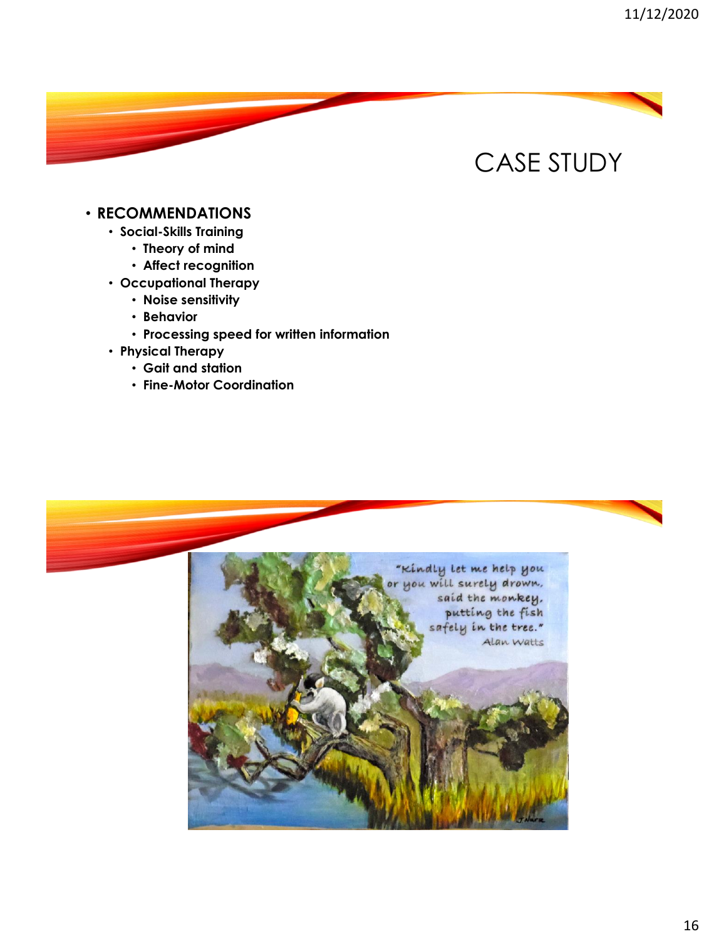#### • **RECOMMENDATIONS**

- **Social-Skills Training**
	- **Theory of mind**
	- **Affect recognition**
- **Occupational Therapy**
	- **Noise sensitivity**
	- **Behavior**
	- **Processing speed for written information**
- **Physical Therapy**
	- **Gait and station**
	- **Fine-Motor Coordination**